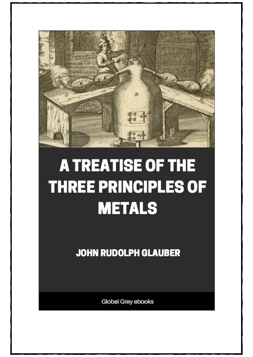

# **A TREATISE OF THE THREE PRINCIPLES OF METALS**

**JOHN RUDOLPH GLAUBER** 

Global Grey ebooks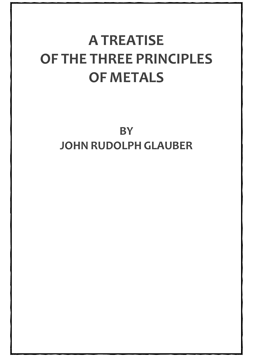# **A TREATISE OF THE THREE PRINCIPLES OF METALS**

**BY JOHN RUDOLPH GLAUBER**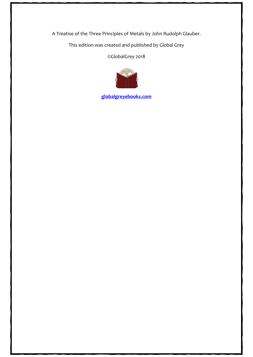A Treatise of the Three Principles of Metals by John Rudolph Glauber.

This edition was created and published by Global Grey

©GlobalGrey 2018



**[globalgreyebooks.com](https://www.globalgreyebooks.com/)**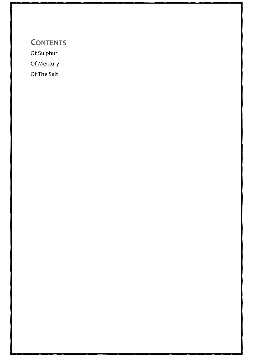**CONTENTS** [Of Sulphur](#page-4-0) [Of Mercury](#page-34-0) [Of The Salt](#page-50-0)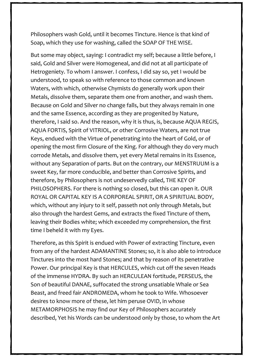A Treatise of the Three Principles of Metals by John Rudolph Glauber.

This edition was created and published by Global Grey

@GlobalGrey 2018

globalgreyebooks.com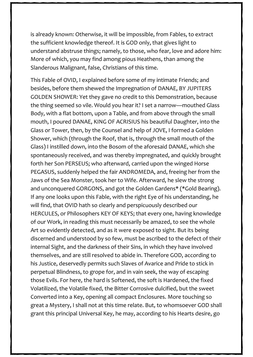is already known: Otherwise, it will be impossible, from Fables, to extract the sufficient knowledge thereof. It is GOD only, that gives light to understand abstruse things; namely, to those, who fear, love and adore him: More of which, you may find among pious Heathens, than among the Slanderous Malignant, false, Christians of this time.

This Fable of OVID, I explained before some of my intimate Friends; and besides, before them shewed the Impregnation of DANAE, BY JUPITERS GOLDEN SHOWER: Yet they gave no credit to this Demonstration, because the thing seemed so vile. Would you hear it? I set a narrow—mouthed Glass Body, with a flat bottom, upon a Table, and from above through the small mouth, I poured DANAE, KING OF ACRISIUS his beautiful Daughter, into the Glass or Tower, then, by the Counsel and help of JOVE, I formed a Golden Shower, which (through the Roof, that is, through the small mouth of the Glass) I instilled down, into the Bosom of the aforesaid DANAE, which she spontaneously received, and was thereby impregnated, and quickly brought forth her Son PERSEUS; who afterward, carried upon the winged Horse PEGASUS, suddenly helped the fair ANDROMEDA, and, freeing her from the Jaws of the Sea Monster, took her to Wife. Afterward, he slew the strong and unconquered GORGONS, and got the Golden Gardens\* (\*Gold Bearing). If any one looks upon this Fable, with the right Eye of his understanding, he will find, that OVID hath so clearly and perspicuously described our HERCULES, or Philosophers KEY OF KEYS; that every one, having knowledge of our Work, in reading this must necessarily be amazed, to see the whole Art so evidently detected, and as it were exposed to sight. But its being discerned and understood by so few, must be ascribed to the defect of their internal Sight, and the darkness of their Sins, in which they have involved themselves, and are still resolved to abide in. Therefore GOD, according to his Justice, deservedly permits such Slaves of Avarice and Pride to stick in perpetual Blindness, to grope for, and in vain seek, the way of escaping those Evils. For here, the hard is Softened, the soft is Hardened, the fixed Volatilized, the Volatile fixed, the Bitter Corrosive dulcified, but the sweet Converted into a Key, opening all compact Enclosures. More touching so great a Mystery, I shall not at this time relate. But, to whomsoever GOD shall grant this principal Universal Key, he may, according to his Hearts desire, go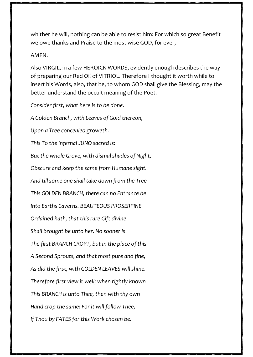whither he will, nothing can be able to resist him: For which so great Benefit we owe thanks and Praise to the most wise GOD, for ever,

#### AMEN.

Also VIRGIL, in a few HEROICK WORDS, evidently enough describes the way of preparing our Red Oil of VITRIOL. Therefore I thought it worth while to insert his Words, also, that he, to whom GOD shall give the Blessing, may the better understand the occult meaning of the Poet.

*Consider first, what here is to be done.*

*A Golden Branch, with Leaves of Gold thereon, Upon a Tree concealed groweth. This To the infernal JUNO sacred is: But the whole Grove, with dismal shades of Night, Obscure and keep the same from Humane sight. And till some one shall take down from the Tree This GOLDEN BRANCH, there can no Entrance be Into Earths Caverns. BEAUTEOUS PROSERPINE Ordained hath, that this rare Gift divine Shall brought be unto her. No sooner is The first BRANCH CROPT, but in the place of this A Second Sprouts, and that most pure and fine, As did the first, with GOLDEN LEAVES will shine. Therefore first view it well; when rightly known This BRANCH is unto Thee, then with thy own Hand crop the same: For it will follow Thee, If Thou by FATES for this Work chosen be.*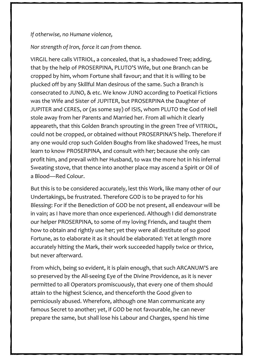#### *If otherwise, no Humane violence,*

## *Nor strength of Iron, force it can from thence.*

VIRGIL here calls VITRIOL, a concealed, that is, a shadowed Tree; adding, that by the help of PROSERPINA, PLUTO'S Wife, but one Branch can be cropped by him, whom Fortune shall favour; and that it is willing to be plucked off by any Skillful Man desirous of the same. Such a Branch is consecrated to JUNO, & etc. We know JUNO according to Poetical Fictions was the Wife and Sister of JUPITER, but PROSERPINA the Daughter of JUPITER and CERES, or (as some say) of ISIS, whom PLUTO the God of Hell stole away from her Parents and Married her. From all which it clearly appeareth, that this Golden Branch sprouting in the green Tree of VITRIOL, could not be cropped, or obtained without PROSERPINA'S help. Therefore if any one would crop such Golden Boughs from like shadowed Trees, he must learn to know PROSERPINA, and consult with her; because she only can profit him, and prevail with her Husband, to wax the more hot in his infernal Sweating stove, that thence into another place may ascend a Spirit or Oil of a Blood—Red Colour.

But this is to be considered accurately, lest this Work, like many other of our Undertakings, be frustrated. Therefore GOD is to be prayed to for his Blessing: For if the Benediction of GOD be not present, all endeavour will be in vain; as I have more than once experienced. Although I did demonstrate our helper PROSERPINA, to some of my loving Friends, and taught them how to obtain and rightly use her; yet they were all destitute of so good Fortune, as to elaborate it as it should be elaborated: Yet at length more accurately hitting the Mark, their work succeeded happily twice or thrice, but never afterward.

From which, being so evident, it is plain enough, that such ARCANUM'S are so preserved by the All-seeing Eye of the Divine Providence, as it is never permitted to all Operators promiscuously, that every one of them should attain to the highest Science, and thenceforth the Good given to perniciously abused. Wherefore, although one Man communicate any famous Secret to another; yet, if GOD be not favourable, he can never prepare the same, but shall lose his Labour and Charges, spend his time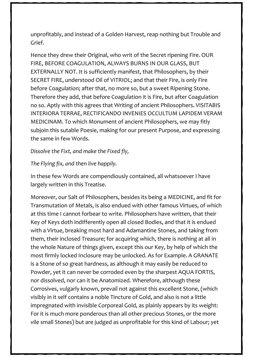unprofitably, and instead of a Golden Harvest, reap nothing but Trouble and Grief.

Hence they drew their Original, who writ of the Secret ripening Fire. OUR FIRE, BEFORE COAGULATION, ALWAYS BURNS IN OUR GLASS, BUT EXTERNALLY NOT. It is sufficiently manifest, that Philosophers, by their SECRET FIRE, understood Oil of VITRIOL; and that their Fire, is only Fire before Coagulation; after that, no more so, but a sweet Ripening Stone. Therefore they add, that before Coagulation it is Fire, but after Coagulation no so. Aptly with this agrees that Writing of ancient Philosophers. VISITABIS INTERIORA TERRAE, RECTIFICANDO INVENIES OCCULTUM LAPIDEM VERAM MEDICINAM. To which Monument of ancient Philosophers, we may fitly subjoin this sutable Poesie, making for our present Purpose, and expressing the same in few Words.

#### *Dissolve the Fixt, and make the Fixed fly,*

### *The Flying fix, and then live happily.*

In these few Words are compendiously contained, all whatsoever I have largely written in this Treatise.

Moreover, our Salt of Philosophers, besides its being a MEDICINE, and fit for Transmutation of Metals, is also endued with other famous Virtues, of which at this time I cannot forbear to write. Philosophers have written, that their Key of Keys doth indifferently open all closed Bodies, and that it is endued with a Virtue, breaking most hard and Adamantine Stones, and taking from them, their inclosed Treasure; for acquiring which, there is nothing at all in the whole Nature of things given, except this our Key, by help of which the most firmly locked Inclosure may be unlocked. As for Example. A GRANATE is a Stone of so great hardness, as although it may easily be reduced to Powder, yet it can never be corroded even by the sharpest AQUA FORTIS, nor dissolved, nor can it be Anatomized. Wherefore, although these Corrosives, vulgarly known, prevail not against this excellent Stone, (which visibly in it self contains a noble Tincture of Gold, and also is not a little impregnated with invisible Corporeal Gold, as plainly appears by its weight: For it is much more ponderous than all other precious Stones, or the more vile small Stones) but are judged as unprofitable for this kind of Labour; yet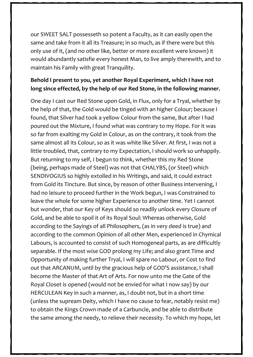our SWEET SALT possesseth so potent a Faculty, as it can easily open the same and take from it all its Treasure; in so much, as if there were but this only use of it, (and no other like, better or more excellent were known) it would abundantly satisfie every honest Man, to live amply therewith, and to maintain his Family with great Tranquility.

# **Behold I present to you, yet another Royal Experiment, which I have not long since effected, by the help of our Red Stone, in the following manner.**

One day I cast our Red Stone upon Gold, in Flux, only for a Tryal, whether by the help of that, the Gold would be tinged with an higher Colour; because I found, that Silver had took a yellow Colour from the same, But after I had poured out the Mixture, I found what was contrary to my Hope. For it was so far from exalting my Gold in Colour, as on the contrary, it took from the same almost all its Colour, so as it was white like Silver. At first, I was not a little troubled, that, contrary to my Expectation, I should work so unhappily. But returning to my self, I begun to think, whether this my Red Stone (being, perhaps made of Steel) was not that CHALYBS, (or Steel) which SENDIVOGIUS so highly extolled in his Writings, and said, it could extract from Gold its Tincture. But since, by reason of other Business intervening, I had no leisure to proceed further in the Work begun, I was Constrained to leave the whole for some higher Experience to another time. Yet I cannot but wonder, that our Key of Keys should so readily unlock every Closure of Gold, and be able to spoil it of its Royal Soul: Whereas otherwise, Gold according to the Sayings of all Philosophers, (as in very deed is true) and according to the common Opinion of all other Men, experienced in Chymical Labours, is accounted to consist of such Homogeneal parts, as are difficultly separable. If the most wise GOD prolong my Life; and also grant Time and Opportunity of making further Tryal, I will spare no Labour, or Cost to find out that ARCANUM, until by the gracious help of GOD'S assistance, I shall become the Master of that Art of Arts. For now unto me the Gate of the Royal Closet is opened (would not be envied for what I now say) by our HERCULEAN Key in such a manner, as, I doubt not, but in a short time (unless the supream Deity, which I have no cause to fear, notably resist me) to obtain the Kings Crown made of a Carbuncle, and be able to distribute the same among the needy, to relieve their necessity. To which my hope, let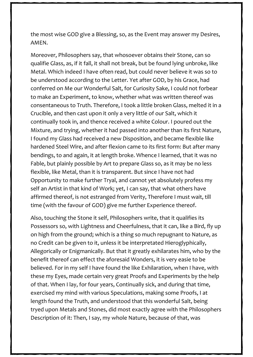the most wise GOD give a Blessing, so, as the Event may answer my Desires, AMEN.

Moreover, Philosophers say, that whosoever obtains their Stone, can so qualifie Glass, as, if it fall, it shall not break, but be found lying unbroke, like Metal. Which indeed I have often read, but could never believe it was so to be understood according to the Letter. Yet after GOD, by his Grace, had conferred on Me our Wonderful Salt, for Curiosity Sake, I could not forbear to make an Experiment, to know, whether what was written thereof was consentaneous to Truth. Therefore, I took a little broken Glass, melted it in a Crucible, and then cast upon it only a very little of our Salt, which it continually took in, and thence received a white Colour. I poured out the Mixture, and trying, whether it had passed into another than its first Nature, I found my Glass had received a new Disposition, and became flexible like hardened Steel Wire, and after flexion came to its first form: But after many bendings, to and again, it at length broke. Whence I learned, that it was no Fable, but plainly possible by Art to prepare Glass so, as it may be no less flexible, like Metal, than it is transparent. But since I have not had Opportunity to make further Tryal, and cannot yet absolutely profess my self an Artist in that kind of Work; yet, I can say, that what others have affirmed thereof, is not estranged from Verity, Therefore I must wait, till time (with the favour of GOD) give me further Experience thereof.

Also, touching the Stone it self, Philosophers write, that it qualifies its Possessors so, with Lightness and Cheerfulness, that it can, like a Bird, fly up on high from the ground; which is a thing so much repugnant to Nature, as no Credit can be given to it, unless it be interpretated Hieroglyphically, Allegorically or Enigmanically. But that it greatly exhilarates him, who by the benefit thereof can effect the aforesaid Wonders, it is very easie to be believed. For in my self I have found the like Exhilaration, when I have, with these my Eyes, made certain very great Proofs and Experiments by the help of that. When I lay, for four years, Continually sick, and during that time, exercised my mind with various Speculations, making some Proofs, I at length found the Truth, and understood that this wonderful Salt, being tryed upon Metals and Stones, did most exactly agree with the Philosophers Description of it: Then, I say, my whole Nature, because of that, was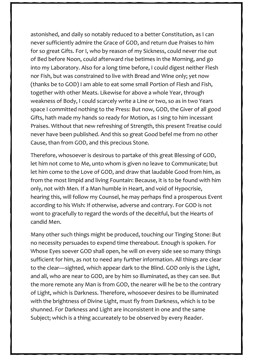astonished, and daily so notably reduced to a better Constitution, as I can never sufficiently admire the Grace of GOD, and return due Praises to him for so great Gifts. For I, who by reason of my Sickness, could never rise out of Bed before Noon, could afterward rise betimes in the Morning, and go into my Laboratory. Also for a long time before, I could digest neither Flesh nor Fish, but was constrained to live with Bread and Wine only; yet now (thanks be to GOD) I am able to eat some small Portion of Flesh and Fish, together with other Meats. Likewise for above a whole Year, through weakness of Body, I could scarcely write a Line or two, so as in two Years space I committed nothing to the Press: But now, GOD, the Giver of all good Gifts, hath made my hands so ready for Motion, as I sing to him incessant Praises. Without that new refreshing of Strength, this present Treatise could never have been published. And this so great Good befel me from no other Cause, than from GOD, and this precious Stone.

Therefore, whosoever is desirous to partake of this great Blessing of GOD, let him not come to Me, unto whom is given no leave to Communicate; but let him come to the Love of GOD, and draw that laudable Good from him, as from the most limpid and living Fountain: Because, it is to be found with him only, not with Men. If a Man humble in Heart, and void of Hypocrisie, hearing this, will follow my Counsel, he may perhaps find a prosperous Event according to his Wish: If otherwise, adverse and contrary. For GOD is not wont to gracefully to regard the words of the deceitful, but the Hearts of candid Men.

Many other such things might be produced, touching our Tinging Stone: But no necessity persuades to expend time thereabout. Enough is spoken. For Whose Eyes soever GOD shall open, he will on every side see so many things sufficient for him, as not to need any further information. All things are clear to the clear—sighted, which appear dark to the Blind. GOD only is the Light, and all, who are near to GOD, are by him so illuminated, as they can see. But the more remote any Man is from GOD, the nearer will he be to the contrary of Light, which is Darkness. Therefore, whosoever desires to be illuminated with the brightness of Divine Light, must fly from Darkness, which is to be shunned. For Darkness and Light are inconsistent in one and the same Subject; which is a thing accureately to be observed by every Reader.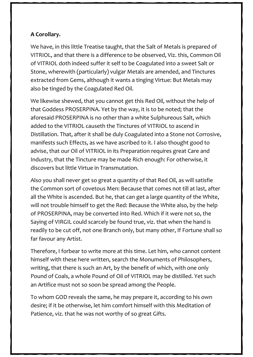# **A Corollary.**

We have, in this little Treatise taught, that the Salt of Metals is prepared of VITRIOL, and that there is a difference to be observed, Viz. this, Common Oil of VITRIOL doth indeed suffer it self to be Coagulated into a sweet Salt or Stone, wherewith (particularly) vulgar Metals are amended, and Tinctures extracted from Gems, although it wants a tinging Virtue: But Metals may also be tinged by the Coagulated Red Oil.

We likewise shewed, that you cannot get this Red Oil, without the help of that Goddess PROSERPINA. Yet by the way, it is to be noted; that the aforesaid PROSERPINA is no other than a white Sulphureous Salt, which added to the VITRIOL causeth the Tinctures of VITRIOL to ascend in Distillation. That, after it shall be duly Coagulated into a Stone not Corrosive, manifests such Effects, as we have ascribed to it. I also thought good to advise, that our Oil of VITRIOL in its Preparation requires great Care and Industry, that the Tincture may be made Rich enough: For otherwise, it discovers but little Virtue in Transmutation.

Also you shall never get so great a quantity of that Red Oil, as will satisfie the Common sort of covetous Men: Because that comes not till at last, after all the White is ascended. But he, that can get a large quantity of the White, will not trouble himself to get the Red: Because the White also, by the help of PROSERPINA, may be converted into Red. Which if it were not so, the Saying of VIRGIL could scarcely be found true, viz. that when the hand is readily to be cut off, not one Branch only, but many other, If Fortune shall so far favour any Artist.

Therefore, I forbear to write more at this time. Let him, who cannot content himself with these here written, search the Monuments of Philosophers, writing, that there is such an Art, by the benefit of which, with one only Pound of Coals, a whole Pound of Oil of VITRIOL may be distilled. Yet such an Artifice must not so soon be spread among the People.

To whom GOD reveals the same, he may prepare it, according to his own desire; if it be otherwise, let him comfort himself with this Meditation of Patience, viz. that he was not worthy of so great Gifts.